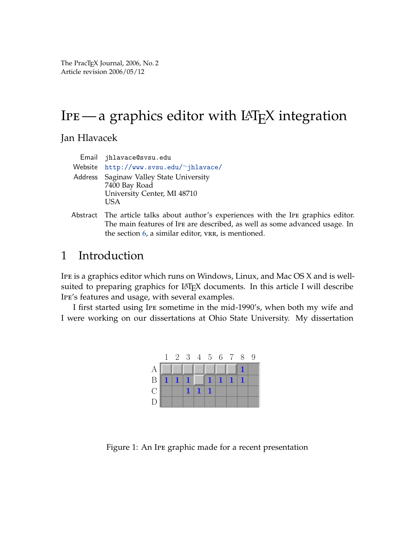The PracTEX Journal, 2006, No. 2 Article revision 2006/05/12

# IPE—a graphics editor with  $LAT$ <sub>E</sub>X integration

Jan Hlavacek

| Email jhlavace@svsu.edu                                                                          |
|--------------------------------------------------------------------------------------------------|
| Website $http://www.svsu.edu/~jhlavace/$                                                         |
| Address Saginaw Valley State University<br>7400 Bay Road<br>University Center, MI 48710<br>I ISA |

Abstract The article talks about author's experiences with the Ipe graphics editor. The main features of Ipe are described, as well as some advanced usage. In the section [6,](#page-13-0) a similar editor, vr. is mentioned.

# 1 Introduction

Ipe is a graphics editor which runs on Windows, Linux, and Mac OS X and is wellsuited to preparing graphics for LAT<sub>E</sub>X documents. In this article I will describe Ipe's features and usage, with several examples.

I first started using Ipe sometime in the mid-1990's, when both my wife and I were working on our dissertations at Ohio State University. My dissertation



Figure 1: An Ipe graphic made for a recent presentation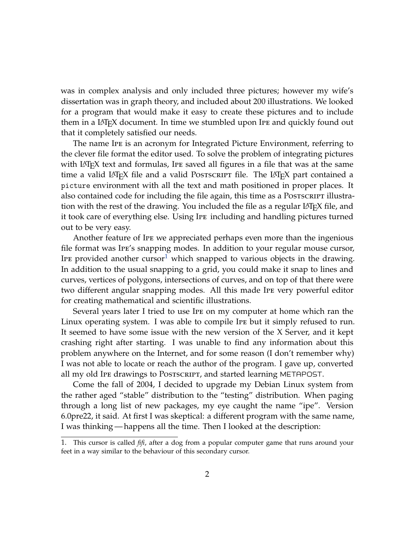was in complex analysis and only included three pictures; however my wife's dissertation was in graph theory, and included about 200 illustrations. We looked for a program that would make it easy to create these pictures and to include them in a LATEX document. In time we stumbled upon Ipe and quickly found out that it completely satisfied our needs.

The name Ipe is an acronym for Integrated Picture Environment, referring to the clever file format the editor used. To solve the problem of integrating pictures with LAT<sub>E</sub>X text and formulas, IPE saved all figures in a file that was at the same time a valid LAT<sub>E</sub>X file and a valid Postscrater file. The LAT<sub>E</sub>X part contained a picture environment with all the text and math positioned in proper places. It also contained code for including the file again, this time as a Postscript illustration with the rest of the drawing. You included the file as a regular  $LAT_{F}X$  file, and it took care of everything else. Using Ipe including and handling pictures turned out to be very easy.

Another feature of Ipe we appreciated perhaps even more than the ingenious file format was Ipe's snapping modes. In addition to your regular mouse cursor, IPE provided another cursor<sup>[1](#page-1-0)</sup> which snapped to various objects in the drawing. In addition to the usual snapping to a grid, you could make it snap to lines and curves, vertices of polygons, intersections of curves, and on top of that there were two different angular snapping modes. All this made Ipe very powerful editor for creating mathematical and scientific illustrations.

Several years later I tried to use Ipe on my computer at home which ran the Linux operating system. I was able to compile Ipe but it simply refused to run. It seemed to have some issue with the new version of the X Server, and it kept crashing right after starting. I was unable to find any information about this problem anywhere on the Internet, and for some reason (I don't remember why) I was not able to locate or reach the author of the program. I gave up, converted all my old Ipe drawings to Postscript, and started learning METAPOST.

Come the fall of 2004, I decided to upgrade my Debian Linux system from the rather aged "stable" distribution to the "testing" distribution. When paging through a long list of new packages, my eye caught the name "ipe". Version 6.0pre22, it said. At first I was skeptical: a different program with the same name, I was thinking — happens all the time. Then I looked at the description:

<span id="page-1-0"></span><sup>1.</sup> This cursor is called *fifi*, after a dog from a popular computer game that runs around your feet in a way similar to the behaviour of this secondary cursor.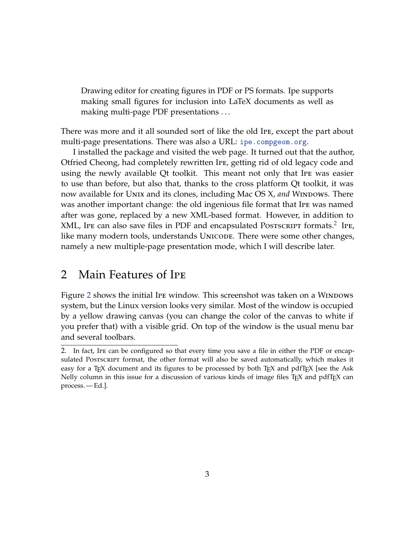Drawing editor for creating figures in PDF or PS formats. Ipe supports making small figures for inclusion into LaTeX documents as well as making multi-page PDF presentations . . .

There was more and it all sounded sort of like the old Ipe, except the part about multi-page presentations. There was also a URL: <ipe.compgeom.org>.

I installed the package and visited the web page. It turned out that the author, Otfried Cheong, had completely rewritten Ipe, getting rid of old legacy code and using the newly available Qt toolkit. This meant not only that Ipe was easier to use than before, but also that, thanks to the cross platform Qt toolkit, it was now available for Unix and its clones, including Mac OS X, and Windows. There was another important change: the old ingenious file format that Ipe was named after was gone, replaced by a new XML-based format. However, in addition to XML, IPE can also save files in PDF and encapsulated Postscript formats.<sup>[2](#page-2-0)</sup> IPE, like many modern tools, understands UNICODE. There were some other changes, namely a new multiple-page presentation mode, which I will describe later.

# 2 Main Features of Ipe

Figure [2](#page-3-0) shows the initial IPE window. This screenshot was taken on a WINDOWS system, but the Linux version looks very similar. Most of the window is occupied by a yellow drawing canvas (you can change the color of the canvas to white if you prefer that) with a visible grid. On top of the window is the usual menu bar and several toolbars.

<span id="page-2-0"></span><sup>2.</sup> In fact, Ipe can be configured so that every time you save a file in either the PDF or encapsulated Postscript format, the other format will also be saved automatically, which makes it easy for a T<sub>E</sub>X document and its figures to be processed by both T<sub>E</sub>X and pdfT<sub>E</sub>X [see the Ask Nelly column in this issue for a discussion of various kinds of image files TEX and pdfTEX can process. — Ed.].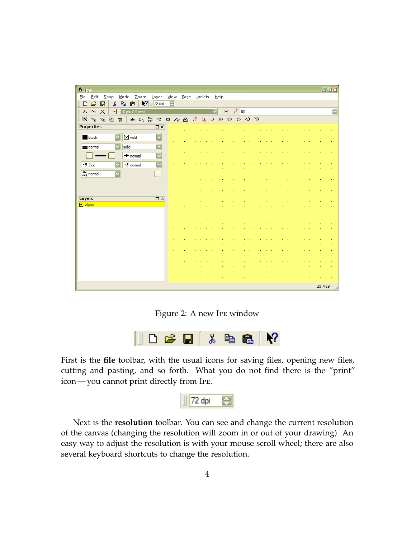| <b>6</b> Ipe                                                                                                                                                                               |                          |                      |                  |                 |      |                  |  |  |  |        | $\Box$ ok               |
|--------------------------------------------------------------------------------------------------------------------------------------------------------------------------------------------|--------------------------|----------------------|------------------|-----------------|------|------------------|--|--|--|--------|-------------------------|
| <b>File</b><br>Edit<br>Mode<br>Zoom<br>$S$ nap                                                                                                                                             | Layer                    | $Vi$ e w             | $_{\text{Page}}$ | <u>i</u> pelets | Help |                  |  |  |  |        |                         |
| $\sqrt{2}$<br>É<br>þ<br>亀<br>y,<br>n<br>Н                                                                                                                                                  | 72 dpi                   | $\overline{\bullet}$ |                  |                 |      |                  |  |  |  |        |                         |
| ×<br>田<br>$\boldsymbol{\uparrow}$<br>16 pts (~6 mm)<br>⋏                                                                                                                                   |                          |                      |                  |                 | M    | <del>종</del> 년 개 |  |  |  |        | $\overline{\mathbf{v}}$ |
| abc $\Sigma$ x, $\stackrel{\text{abc}}{def}$ x, $\Box$ $\wedge$ $\Box$ $\Box$ $\Box$ $\Box$ $\Theta$ $\Theta$ $\Theta$ $\wedge$ $\Theta$<br>$\mathbb{R}$ $R_0$<br>$\mathbb{Q}_0$<br>巴<br>卿 |                          |                      |                  |                 |      |                  |  |  |  |        |                         |
| Properties                                                                                                                                                                                 | $\square$ $\times$       |                      |                  |                 |      |                  |  |  |  |        |                         |
| black<br>$\boxtimes$ void                                                                                                                                                                  | $\overline{\phantom{0}}$ |                      |                  |                 |      |                  |  |  |  |        |                         |
| $\equiv$ normal<br>solid                                                                                                                                                                   | $\overline{\mathbf{v}}$  |                      |                  |                 |      |                  |  |  |  |        |                         |
| $\rightarrow$ normal                                                                                                                                                                       | $\overline{\mathbf{v}}$  |                      |                  |                 |      |                  |  |  |  |        |                         |
| ×8 normal<br>$^{\times}$ . Disc                                                                                                                                                            | $\overline{\mathbf{v}}$  |                      |                  |                 |      |                  |  |  |  |        |                         |
| $\frac{abc}{def}$ normal<br>$\overline{\mathbf{v}}$                                                                                                                                        |                          |                      |                  |                 |      |                  |  |  |  |        |                         |
|                                                                                                                                                                                            |                          |                      |                  |                 |      |                  |  |  |  |        |                         |
|                                                                                                                                                                                            |                          |                      |                  |                 |      |                  |  |  |  |        |                         |
| Layers                                                                                                                                                                                     | $\square$ $\times$       |                      |                  |                 |      |                  |  |  |  |        |                         |
| $\boxed{\blacksquare}$ alpha                                                                                                                                                               |                          |                      |                  |                 |      |                  |  |  |  |        |                         |
|                                                                                                                                                                                            |                          |                      |                  |                 |      |                  |  |  |  |        |                         |
|                                                                                                                                                                                            |                          |                      |                  |                 |      |                  |  |  |  |        |                         |
|                                                                                                                                                                                            |                          |                      |                  |                 |      |                  |  |  |  |        |                         |
|                                                                                                                                                                                            |                          |                      |                  |                 |      |                  |  |  |  |        |                         |
|                                                                                                                                                                                            |                          |                      |                  |                 |      |                  |  |  |  |        |                         |
|                                                                                                                                                                                            |                          |                      |                  |                 |      |                  |  |  |  |        |                         |
|                                                                                                                                                                                            |                          |                      |                  |                 |      |                  |  |  |  |        |                         |
|                                                                                                                                                                                            |                          |                      |                  |                 |      |                  |  |  |  |        |                         |
|                                                                                                                                                                                            |                          |                      |                  |                 |      |                  |  |  |  |        |                         |
|                                                                                                                                                                                            |                          |                      |                  |                 |      |                  |  |  |  |        |                         |
|                                                                                                                                                                                            |                          |                      |                  |                 |      |                  |  |  |  |        |                         |
|                                                                                                                                                                                            |                          |                      |                  |                 |      |                  |  |  |  | 28,469 |                         |

<span id="page-3-0"></span>Figure 2: A new Ipe window



First is the **file** toolbar, with the usual icons for saving files, opening new files, cutting and pasting, and so forth. What you do not find there is the "print" icon — you cannot print directly from Ipe.



Next is the **resolution** toolbar. You can see and change the current resolution of the canvas (changing the resolution will zoom in or out of your drawing). An easy way to adjust the resolution is with your mouse scroll wheel; there are also several keyboard shortcuts to change the resolution.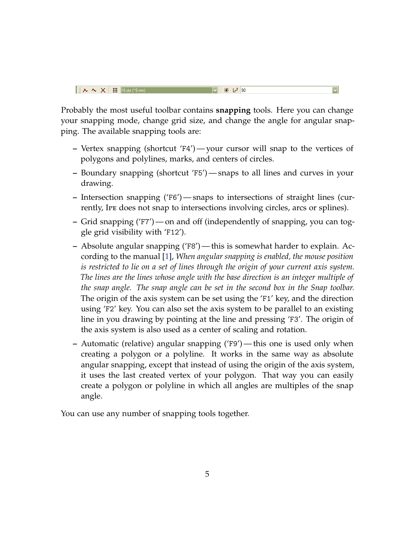$\overline{\blacktriangledown}$ 

Probably the most useful toolbar contains **snapping** tools. Here you can change your snapping mode, change grid size, and change the angle for angular snapping. The available snapping tools are:

- **–** Vertex snapping (shortcut 'F4') your cursor will snap to the vertices of polygons and polylines, marks, and centers of circles.
- **–** Boundary snapping (shortcut 'F5') snaps to all lines and curves in your drawing.
- **–** Intersection snapping ('F6') snaps to intersections of straight lines (currently, Ipe does not snap to intersections involving circles, arcs or splines).
- **–** Grid snapping ('F7') on and off (independently of snapping, you can toggle grid visibility with 'F12').
- **–** Absolute angular snapping ('F8') this is somewhat harder to explain. According to the manual [\[1\]](#page-14-0), *When angular snapping is enabled, the mouse position is restricted to lie on a set of lines through the origin of your current axis system. The lines are the lines whose angle with the base direction is an integer multiple of the snap angle. The snap angle can be set in the second box in the Snap toolbar.* The origin of the axis system can be set using the 'F1' key, and the direction using 'F2' key. You can also set the axis system to be parallel to an existing line in you drawing by pointing at the line and pressing 'F3'. The origin of the axis system is also used as a center of scaling and rotation.
- **–** Automatic (relative) angular snapping ('F9') this one is used only when creating a polygon or a polyline. It works in the same way as absolute angular snapping, except that instead of using the origin of the axis system, it uses the last created vertex of your polygon. That way you can easily create a polygon or polyline in which all angles are multiples of the snap angle.

You can use any number of snapping tools together.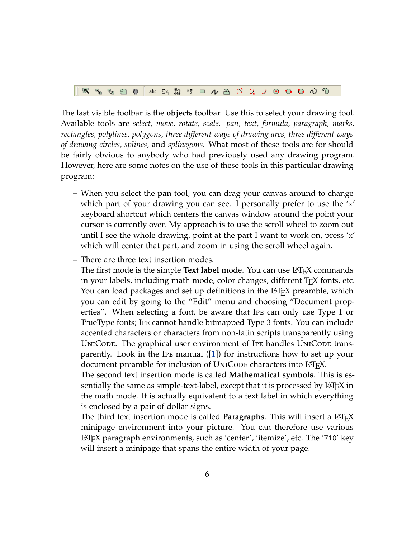| $\ \mathbb{R}\setminus\mathbb{R}_0\oplus\mathbb{D}\setminus\mathbb{D}\ $ abd $\Sigma_2$ , $\frac{36}{44}$ $\times$ $\Box$ $\wedge$ $\Box$ $\Box$ $\Box$ $\Box$ $\Theta$ $\Theta$ $\Theta$ $\wedge$ $\heartsuit$ |  |  |  |  |  |  |  |  |  |  |  |  |  |  |  |  |  |  |  |
|-----------------------------------------------------------------------------------------------------------------------------------------------------------------------------------------------------------------|--|--|--|--|--|--|--|--|--|--|--|--|--|--|--|--|--|--|--|
|-----------------------------------------------------------------------------------------------------------------------------------------------------------------------------------------------------------------|--|--|--|--|--|--|--|--|--|--|--|--|--|--|--|--|--|--|--|

The last visible toolbar is the **objects** toolbar. Use this to select your drawing tool. Available tools are *select, move, rotate, scale. pan, text, formula, paragraph, marks, rectangles, polylines, polygons, three different ways of drawing arcs, three different ways of drawing circles, splines,* and *splinegons*. What most of these tools are for should be fairly obvious to anybody who had previously used any drawing program. However, here are some notes on the use of these tools in this particular drawing program:

- **–** When you select the **pan** tool, you can drag your canvas around to change which part of your drawing you can see. I personally prefer to use the 'x' keyboard shortcut which centers the canvas window around the point your cursor is currently over. My approach is to use the scroll wheel to zoom out until I see the whole drawing, point at the part I want to work on, press 'x' which will center that part, and zoom in using the scroll wheel again.
- **–** There are three text insertion modes.

The first mode is the simple **Text label** mode. You can use LAT<sub>EX</sub> commands in your labels, including math mode, color changes, different T<sub>E</sub>X fonts, etc. You can load packages and set up definitions in the LAT<sub>E</sub>X preamble, which you can edit by going to the "Edit" menu and choosing "Document properties". When selecting a font, be aware that Ipe can only use Type 1 or TrueType fonts; Ipe cannot handle bitmapped Type 3 fonts. You can include accented characters or characters from non-latin scripts transparently using UNICODE. The graphical user environment of IPE handles UNICODE transparently. Look in the Ipe manual ([\[1\]](#page-14-0)) for instructions how to set up your document preamble for inclusion of UNICODE characters into LAT<sub>E</sub>X.

The second text insertion mode is called **Mathematical symbols**. This is essentially the same as simple-text-label, except that it is processed by LAT<sub>E</sub>X in the math mode. It is actually equivalent to a text label in which everything is enclosed by a pair of dollar signs.

The third text insertion mode is called **Paragraphs**. This will insert a L<sup>AT</sup>EX minipage environment into your picture. You can therefore use various LATEX paragraph environments, such as 'center', 'itemize', etc. The 'F10' key will insert a minipage that spans the entire width of your page.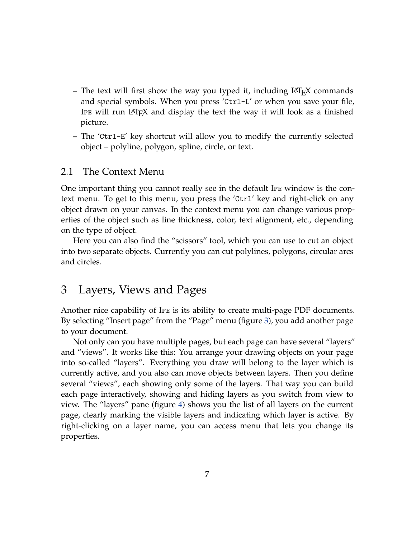- **–** The text will first show the way you typed it, including LATEX commands and special symbols. When you press 'Ctrl-L' or when you save your file, IPE will run  $L^{\text{H}}E$  and display the text the way it will look as a finished picture.
- **–** The 'Ctrl-E' key shortcut will allow you to modify the currently selected object – polyline, polygon, spline, circle, or text.

#### 2.1 The Context Menu

One important thing you cannot really see in the default Ipe window is the context menu. To get to this menu, you press the 'Ctrl' key and right-click on any object drawn on your canvas. In the context menu you can change various properties of the object such as line thickness, color, text alignment, etc., depending on the type of object.

Here you can also find the "scissors" tool, which you can use to cut an object into two separate objects. Currently you can cut polylines, polygons, circular arcs and circles.

# 3 Layers, Views and Pages

Another nice capability of Ipe is its ability to create multi-page PDF documents. By selecting "Insert page" from the "Page" menu (figure [3\)](#page-7-0), you add another page to your document.

Not only can you have multiple pages, but each page can have several "layers" and "views". It works like this: You arrange your drawing objects on your page into so-called "layers". Everything you draw will belong to the layer which is currently active, and you also can move objects between layers. Then you define several "views", each showing only some of the layers. That way you can build each page interactively, showing and hiding layers as you switch from view to view. The "layers" pane (figure [4\)](#page-7-1) shows you the list of all layers on the current page, clearly marking the visible layers and indicating which layer is active. By right-clicking on a layer name, you can access menu that lets you change its properties.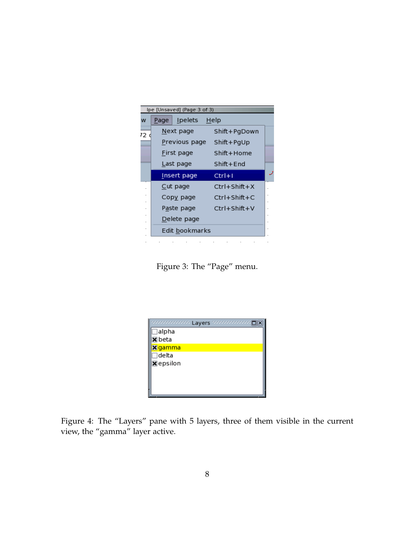

Figure 3: The "Page" menu.

<span id="page-7-0"></span>

|                              | soccoccoco Layers coccoccoco [ |
|------------------------------|--------------------------------|
| $\Box$ alpha                 |                                |
| $\mathbf{\overline{x}}$ beta |                                |
| <mark>X</mark> gamma         |                                |
| $\sqsupset$ delta            |                                |
| <b>X</b> epsilon             |                                |
|                              |                                |
|                              |                                |
|                              |                                |
|                              |                                |

<span id="page-7-1"></span>Figure 4: The "Layers" pane with 5 layers, three of them visible in the current view, the "gamma" layer active.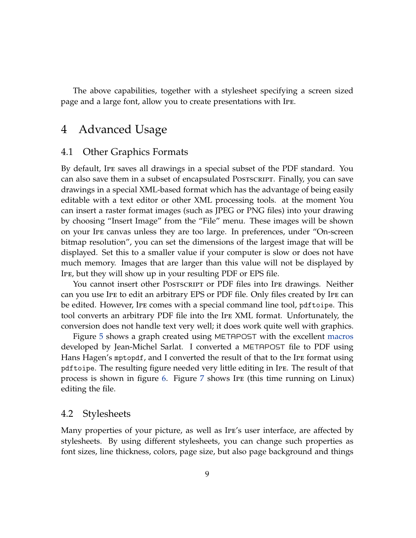The above capabilities, together with a stylesheet specifying a screen sized page and a large font, allow you to create presentations with Ipe.

# 4 Advanced Usage

#### 4.1 Other Graphics Formats

By default, Ipe saves all drawings in a special subset of the PDF standard. You can also save them in a subset of encapsulated Postscript. Finally, you can save drawings in a special XML-based format which has the advantage of being easily editable with a text editor or other XML processing tools. at the moment You can insert a raster format images (such as JPEG or PNG files) into your drawing by choosing "Insert Image" from the "File" menu. These images will be shown on your Ipe canvas unless they are too large. In preferences, under "On-screen bitmap resolution", you can set the dimensions of the largest image that will be displayed. Set this to a smaller value if your computer is slow or does not have much memory. Images that are larger than this value will not be displayed by Ipe, but they will show up in your resulting PDF or EPS file.

You cannot insert other Postscript or PDF files into Ipe drawings. Neither can you use Ipe to edit an arbitrary EPS or PDF file. Only files created by Ipe can be edited. However, Ipe comes with a special command line tool, pdftoipe. This tool converts an arbitrary PDF file into the Ipe XML format. Unfortunately, the conversion does not handle text very well; it does work quite well with graphics.

Figure [5](#page-9-0) shows a graph created using METAPOST with the excellent [macros](http://melusine.eu.org/syracuse/metapost/galeries/polaires01/) developed by Jean-Michel Sarlat. I converted a METAPOST file to PDF using Hans Hagen's mptopdf, and I converted the result of that to the Ipe format using pdftoipe. The resulting figure needed very little editing in Ipe. The result of that process is shown in figure [6.](#page-9-1) Figure [7](#page-10-0) shows Ipe (this time running on Linux) editing the file.

#### 4.2 Stylesheets

Many properties of your picture, as well as Ipe's user interface, are affected by stylesheets. By using different stylesheets, you can change such properties as font sizes, line thickness, colors, page size, but also page background and things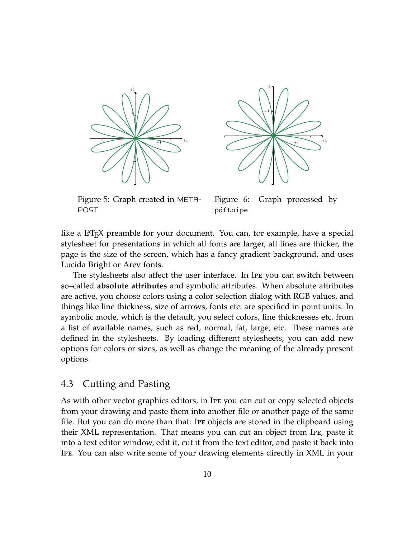



<span id="page-9-0"></span>Figure 5: Graph created in META-POST

<span id="page-9-1"></span>Figure 6: Graph processed by pdftoipe

like a LAT<sub>E</sub>X preamble for your document. You can, for example, have a special stylesheet for presentations in which all fonts are larger, all lines are thicker, the page is the size of the screen, which has a fancy gradient background, and uses Lucida Bright or Arev fonts.

The stylesheets also affect the user interface. In Ipe you can switch between so–called **absolute attributes** and symbolic attributes. When absolute attributes are active, you choose colors using a color selection dialog with RGB values, and things like line thickness, size of arrows, fonts etc. are specified in point units. In symbolic mode, which is the default, you select colors, line thicknesses etc. from a list of available names, such as red, normal, fat, large, etc. These names are defined in the stylesheets. By loading different stylesheets, you can add new options for colors or sizes, as well as change the meaning of the already present options.

#### 4.3 Cutting and Pasting

As with other vector graphics editors, in Ipe you can cut or copy selected objects from your drawing and paste them into another file or another page of the same file. But you can do more than that: Ipe objects are stored in the clipboard using their XML representation. That means you can cut an object from Ipe, paste it into a text editor window, edit it, cut it from the text editor, and paste it back into Ipe. You can also write some of your drawing elements directly in XML in your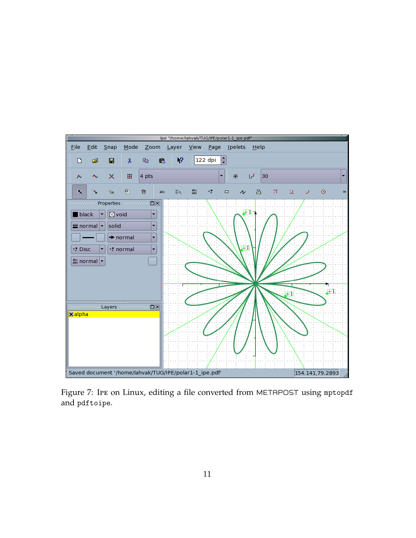

<span id="page-10-0"></span>Figure 7: Ipe on Linux, editing a file converted from METAPOST using mptopdf and pdftoipe.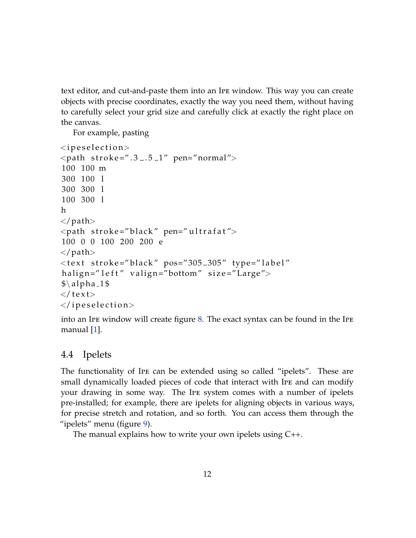text editor, and cut-and-paste them into an Ipe window. This way you can create objects with precise coordinates, exactly the way you need them, without having to carefully select your grid size and carefully click at exactly the right place on the canvas.

For example, pasting

```
<ipeselection><path stroke=".3..5.1" pen="normal">
100 100 m
300 100 l
300 300 l
100 300 l
h
\langle/path>\epsilon <path stroke="black" pen="ultrafat">
100 0 0 100 200 200 e
\langle/path><text stroke="black" pos="305_305" type="label"
halign="left" valign="bottom" size="Large">
\$\alpha<sub>-1</sub>$
\langle text\rangle\langle ipeselection>
```
into an Ipe window will create figure [8.](#page-12-0) The exact syntax can be found in the Ipe manual [\[1\]](#page-14-0).

#### 4.4 Ipelets

The functionality of Ipe can be extended using so called "ipelets". These are small dynamically loaded pieces of code that interact with Ipe and can modify your drawing in some way. The Ipe system comes with a number of ipelets pre-installed; for example, there are ipelets for aligning objects in various ways, for precise stretch and rotation, and so forth. You can access them through the "ipelets" menu (figure [9\)](#page-12-1).

The manual explains how to write your own ipelets using C++.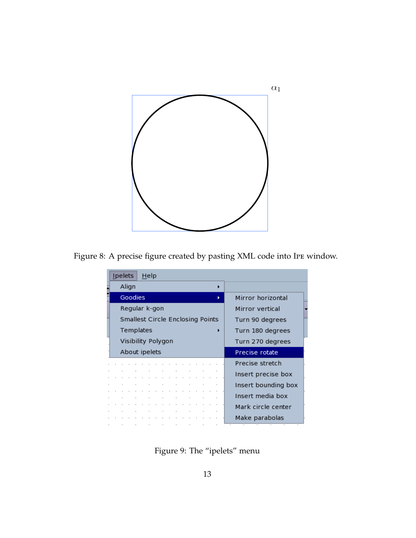

Figure 8: A precise figure created by pasting XML code into Ipe window.

<span id="page-12-0"></span>

| <u>I</u> pelets |                                  | Help |  |  |  |  |   |                     |
|-----------------|----------------------------------|------|--|--|--|--|---|---------------------|
|                 | Align                            |      |  |  |  |  |   |                     |
|                 | Goodies                          |      |  |  |  |  | ь | Mirror horizontal   |
|                 | Regular k-gon                    |      |  |  |  |  |   | Mirror vertical     |
|                 | Smallest Circle Enclosing Points |      |  |  |  |  |   | Turn 90 degrees     |
|                 | Templates                        |      |  |  |  |  |   | Turn 180 degrees    |
|                 | Visibility Polygon               |      |  |  |  |  |   | Turn 270 degrees    |
|                 | About ipelets                    |      |  |  |  |  |   | Precise rotate      |
|                 |                                  |      |  |  |  |  |   | Precise stretch     |
|                 |                                  |      |  |  |  |  |   | Insert precise box  |
|                 |                                  |      |  |  |  |  |   | Insert bounding box |
|                 |                                  |      |  |  |  |  |   | Insert media box    |
|                 |                                  |      |  |  |  |  |   | Mark circle center  |
|                 |                                  |      |  |  |  |  |   | Make parabolas      |

<span id="page-12-1"></span>Figure 9: The "ipelets" menu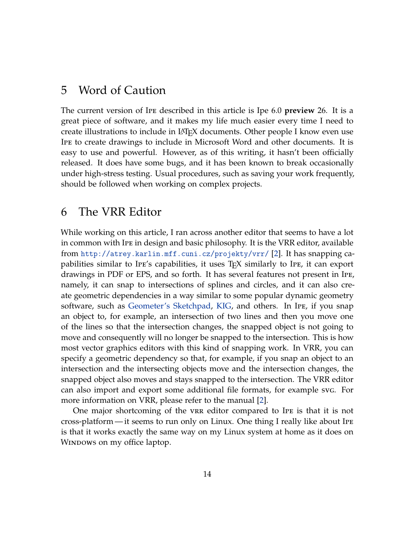### 5 Word of Caution

The current version of Ipe described in this article is Ipe 6.0 **preview** 26. It is a great piece of software, and it makes my life much easier every time I need to create illustrations to include in LATEX documents. Other people I know even use Ipe to create drawings to include in Microsoft Word and other documents. It is easy to use and powerful. However, as of this writing, it hasn't been officially released. It does have some bugs, and it has been known to break occasionally under high-stress testing. Usual procedures, such as saving your work frequently, should be followed when working on complex projects.

# <span id="page-13-0"></span>6 The VRR Editor

While working on this article, I ran across another editor that seems to have a lot in common with Ipe in design and basic philosophy. It is the VRR editor, available from <http://atrey.karlin.mff.cuni.cz/projekty/vrr/> [\[2\]](#page-14-1). It has snapping capabilities similar to IPE's capabilities, it uses  $T_{F}X$  similarly to IPE, it can export drawings in PDF or EPS, and so forth. It has several features not present in Ipe, namely, it can snap to intersections of splines and circles, and it can also create geometric dependencies in a way similar to some popular dynamic geometry software, such as [Geometer's Sketchpad,](http://www.keypress.com/sketchpad/) [KIG,](http://edu.kde.org/kig/) and others. In Ipe, if you snap an object to, for example, an intersection of two lines and then you move one of the lines so that the intersection changes, the snapped object is not going to move and consequently will no longer be snapped to the intersection. This is how most vector graphics editors with this kind of snapping work. In VRR, you can specify a geometric dependency so that, for example, if you snap an object to an intersection and the intersecting objects move and the intersection changes, the snapped object also moves and stays snapped to the intersection. The VRR editor can also import and export some additional file formats, for example svg. For more information on VRR, please refer to the manual [\[2\]](#page-14-1).

One major shortcoming of the vrr editor compared to Ipe is that it is not cross-platform — it seems to run only on Linux. One thing I really like about Ipe is that it works exactly the same way on my Linux system at home as it does on WINDOWS on my office laptop.